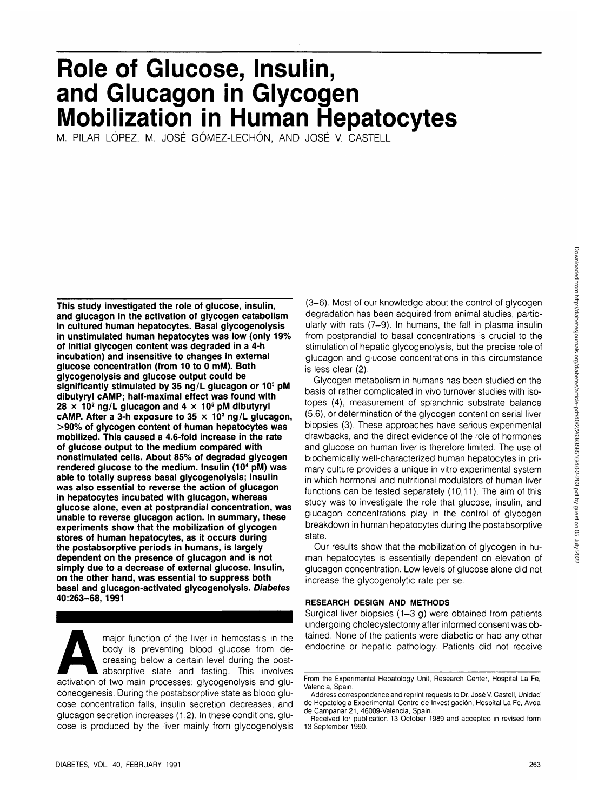# **Role of Glucose, Insulin, and Glucagon in Glycogen Mobilization in Human Hepatocytes**

M. PILAR LÓPEZ, M. JOSÉ GÓMEZ-LECHÓN, AND JOSÉ V. CASTELL

**This study investigated the role of glucose, insulin, and glucagon in the activation of glycogen catabolism in cultured human hepatocytes. Basal glycogenolysis in unstimulated human hepatocytes was low (only 19% of initial glycogen content was degraded in a 4-h incubation) and insensitive to changes in external glucose concentration (from 10 to 0 mM). Both glycogenolysis and glucose output could be significantly stimulated by 35 ng/L glucagon or 105 pM dibutyryl cAMP; half-maximal effect was found with 28 x 10<sup>2</sup> ng/L glucagon and 4 x 105 pM dibutyryl cAMP. After a 3-h exposure to 35 x 103 ng/L glucagon, >90% of glycogen content of human hepatocytes was mobilized. This caused a 4.6-fold increase in the rate of glucose output to the medium compared with nonstimulated cells. About 85% of degraded glycogen rendered glucose to the medium. Insulin (10<sup>4</sup> pM) was able to totally supress basal glycogenolysis; insulin was also essential to reverse the action of glucagon in hepatocytes incubated with glucagon, whereas glucose alone, even at postprandial concentration, was unable to reverse glucagon action. In summary, these experiments show that the mobilization of glycogen stores of human hepatocytes, as it occurs during the postabsorptive periods in humans, is largely dependent on the presence of glucagon and is not simply due to a decrease of external glucose. Insulin, on the other hand, was essential to suppress both basal and glucagon-activated glycogenolysis. Diabetes 40:263-68, 1991**

major function of the liver in hemostasis in the<br>
body is preventing blood glucose from de-<br>
creasing below a certain level during the post-<br>
absorptive state and fasting. This involves<br>
activation of two main processes: g body is preventing blood glucose from decreasing below a certain level during the postabsorptive state and fasting. This involves coneogenesis. During the postabsorptive state as blood glucose concentration falls, insulin secretion decreases, and glucagon secretion increases (1,2). In these conditions, glucose is produced by the liver mainly from glycogenolysis

(3-6). Most of our knowledge about the control of glycogen degradation has been acquired from animal studies, particularly with rats (7-9). In humans, the fall in plasma insulin from postprandial to basal concentrations is crucial to the stimulation of hepatic glycogenolysis, but the precise role of glucagon and glucose concentrations in this circumstance is less clear (2).

Glycogen metabolism in humans has been studied on the basis of rather complicated in vivo turnover studies with isotopes (4), measurement of splanchnic substrate balance (5,6), or determination of the glycogen content on serial liver biopsies (3). These approaches have serious experimental drawbacks, and the direct evidence of the role of hormones and glucose on human liver is therefore limited. The use of biochemically well-characterized human hepatocytes in primary culture provides a unique in vitro experimental system in which hormonal and nutritional modulators of human liver functions can be tested separately (10,11). The aim of this study was to investigate the role that glucose, insulin, and glucagon concentrations play in the control of glycogen breakdown in human hepatocytes during the postabsorptive state.

Our results show that the mobilization of glycogen in human hepatocytes is essentially dependent on elevation of glucagon concentration. Low levels of glucose alone did not increase the glycogenolytic rate per se.

### **RESEARCH DESIGN AND METHODS**

Surgical liver biopsies (1-3 g) were obtained from patients undergoing cholecystectomy after informed consent was obtained. None of the patients were diabetic or had any other endocrine or hepatic pathology. Patients did not receive

From the Experimental Hepatology Unit, Research Center, Hospital La Fe, Valencia, Spain.

Address correspondence and reprint requests to Dr. Jose V. Castell, Unidad de Hepatologia Experimental, Centro de Investigaci6n, Hospital La Fe, Avda de Campanar 21, 46009-Valencia, Spain.

Received for publication 13 October 1989 and accepted in revised form 13 September 1990.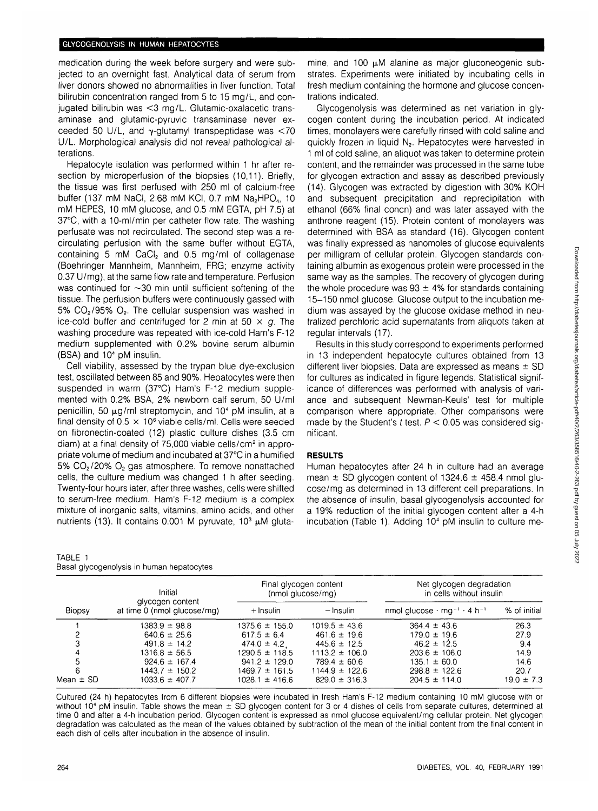medication during the week before surgery and were subjected to an overnight fast. Analytical data of serum from liver donors showed no abnormalities in liver function. Total bilirubin concentration ranged from 5 to 15 mg/L, and conjugated bilirubin was <3 mg/L. Glutamic-oxalacetic transaminase and glutamic-pyruvic transaminase never exceeded 50 U/L, and  $\nu$ -glutamyl transpeptidase was  $\leq 70$ U/L. Morphological analysis did not reveal pathological alterations.

Hepatocyte isolation was performed within 1 hr after resection by microperfusion of the biopsies (10.11). Briefly, the tissue was first perfused with 250 ml of calcium-free buffer (137 mM NaCl, 2.68 mM KCl, 0.7 mM Na<sub>2</sub>HPO<sub>4</sub>, 10 mM HEPES, 10 mM glucose, and 0.5 mM EGTA, pH 7.5) at 37°C, with a 10-ml/min per catheter flow rate. The washing perfusate was not recirculated. The second step was a recirculating perfusion with the same buffer without EGTA, containing 5 mM CaCI<sub>2</sub> and 0.5 mg/ml of collagenase (Boehringer Mannheim, Mannheim, FRG; enzyme activity 0.37 U/mg), at the same flow rate and temperature. Perfusion was continued for  $\sim$ 30 min until sufficient softening of the tissue. The perfusion buffers were continuously gassed with 5%  $CO<sub>2</sub>/95% O<sub>2</sub>$ . The cellular suspension was washed in ice-cold buffer and centrifuged for 2 min at 50  $\times$  g. The washing procedure was repeated with ice-cold Ham's F-12 medium supplemented with 0.2% bovine serum albumin  $(BSA)$  and  $10<sup>4</sup>$  pM insulin.

Cell viability, assessed by the trypan blue dye-exclusion test, oscillated between 85 and 90%. Hepatocytes were then suspended in warm (37°C) Ham's F-12 medium supplemented with 0.2% BSA, 2% newborn calf serum, 50 U/ml penicillin, 50 µg/ml streptomycin, and 10<sup>4</sup> pM insulin, at a final density of  $0.5 \times 10^6$  viable cells/ml. Cells were seeded on fibronectin-coated (12) plastic culture dishes (3.5 cm diam) at a final density of 75,000 viable cells/cm<sup>2</sup> in appropriate volume of medium and incubated at 37°C in a humified 5%  $CO<sub>2</sub>/20% O<sub>2</sub>$  gas atmosphere. To remove nonattached cells, the culture medium was changed 1 h after seeding. Twenty-four hours later, after three washes, cells were shifted to serum-free medium. Ham's F-12 medium is a complex mixture of inorganic salts, vitamins, amino acids, and other nutrients (13). It contains 0.001 M pyruvate, 10<sup>3</sup>  $\mu$ M gluta-

TABLE 1 Basal glycogenolysis in human hepatocytes mine, and 100  $\mu$ M alanine as major gluconeogenic substrates. Experiments were initiated by incubating cells in fresh medium containing the hormone and glucose concentrations indicated.

Glycogenolysis was determined as net variation in glycogen content during the incubation period. At indicated times, monolayers were carefully rinsed with cold saline and quickly frozen in liquid N<sub>2</sub>. Hepatocytes were harvested in 1 ml of cold saline, an aliquot was taken to determine protein content, and the remainder was processed in the same tube for glycogen extraction and assay as described previously (14). Glycogen was extracted by digestion with 30% KOH and subsequent precipitation and reprecipitation with ethanol (66% final concn) and was later assayed with the anthrone reagent (15). Protein content of monolayers was determined with BSA as standard (16). Glycogen content was finally expressed as nanomoles of glucose equivalents per milligram of cellular protein. Glycogen standards containing albumin as exogenous protein were processed in the same way as the samples. The recovery of glycogen during the whole procedure was  $93 \pm 4\%$  for standards containing 15-150 nmol glucose. Glucose output to the incubation medium was assayed by the glucose oxidase method in neutralized perchloric acid supematants from aliquots taken at regular intervals (17).

Results in this study correspond to experiments performed in 13 independent hepatocyte cultures obtained from 13 different liver biopsies. Data are expressed as means  $\pm$  SD for cultures as indicated in figure legends. Statistical significance of differences was performed with analysis of variance and subsequent Newman-Keuls' test for multiple comparison where appropriate. Other comparisons were made by the Student's t test.  $P < 0.05$  was considered significant.

## **RESULTS**

Human hepatocytes after 24 h in culture had an average mean  $\pm$  SD glycogen content of 1324.6  $\pm$  458.4 nmol glucose/mg as determined in 13 different cell preparations. In the absence of insulin, basal glycogenolysis accounted for a 19% reduction of the initial glycogen content after a 4-h incubation (Table 1). Adding 10" pM insulin to culture me-

| Biopsy    | Initial<br>glycogen content<br>at time 0 (nmol glucose/mg) | Final glycogen content<br>(nmol glucose/mg) |                    | Net glycogen degradation<br>in cells without insulin      |                |
|-----------|------------------------------------------------------------|---------------------------------------------|--------------------|-----------------------------------------------------------|----------------|
|           |                                                            | + Insulin                                   | – Insulin          | nmol glucose $\cdot$ mg $^{-1}$ $\cdot$ 4 h <sup>-1</sup> | % of initial   |
|           | $1383.9 \pm 98.8$                                          | $1375.6 \pm 155.0$                          | $1019.5 \pm 43.6$  | $364.4 \pm 43.6$                                          | 26.3           |
|           | $640.6 \pm 25.6$                                           | $617.5 \pm 6.4$                             | $461.6 \pm 19.6$   | $179.0 \pm 19.6$                                          | 27.9           |
| 3         | $491.8 \pm 14.2$                                           | $474.0 \pm 4.2$                             | $445.6 \pm 12.5$   | $46.2 \pm 12.5$                                           | 9.4            |
| 4         | $1316.8 \pm 56.5$                                          | $1290.5 \pm 118.5$                          | $1113.2 \pm 106.0$ | $203.6 \pm 106.0$                                         | 14.9           |
| 5         | $924.6 \pm 167.4$                                          | $941.2 \pm 129.0$                           | $789.4 \pm 60.6$   | $135.1 \pm 60.0$                                          | 14.6           |
| 6         | $1443.7 \pm 150.2$                                         | $1469.7 \pm 161.5$                          | $1144.9 \pm 122.6$ | $298.8 \pm 122.6$                                         | 20.7           |
| Mean ± SD | $1033.6 \pm 407.7$                                         | $1028.1 \pm 416.6$                          | $829.0 \pm 316.3$  | $204.5 \pm 114.0$                                         | $19.0 \pm 7.3$ |
|           |                                                            |                                             |                    |                                                           |                |

Cultured (24 h) hepatocytes from 6 different biopsies were incubated in fresh Ham's F-12 medium containing 10 mM glucose with or without 10<sup>4</sup> pM insulin. Table shows the mean  $\pm$  SD glycogen content for 3 or 4 dishes of cells from separate cultures, determined at time 0 and after a 4-h incubation period. Glycogen content is expressed as nmol glucose equivalent/mg cellular protein. Net glycogen degradation was calculated as the mean of the values obtained by subtraction of the mean of the initial content from the final content in each dish of cells after incubation in the absence of insulin.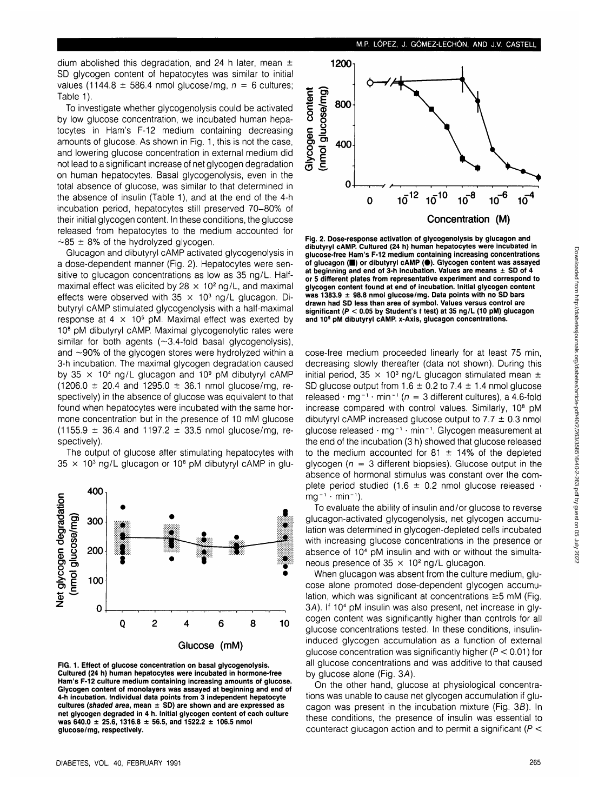dium abolished this degradation, and 24 h later, mean  $\pm$ SD glycogen content of hepatocytes was similar to initial values (1144.8  $\pm$  586.4 nmol glucose/mg,  $n = 6$  cultures; Table 1).

To investigate whether glycogenolysis could be activated by low glucose concentration, we incubated human hepatocytes in Ham's F-12 medium containing decreasing amounts of glucose. As shown in Fig. 1, this is not the case, and lowering glucose concentration in external medium did not lead to a significant increase of net glycogen degradation on human hepatocytes. Basal glycogenolysis, even in the total absence of glucose, was similar to that determined in the absence of insulin (Table 1), and at the end of the 4-h incubation period, hepatocytes still preserved 70-80% of their initial glycogen content. In these conditions, the glucose released from hepatocytes to the medium accounted for  $\sim$ 85  $\pm$  8% of the hydrolyzed glycogen.

Glucagon and dibutyryl cAMP activated glycogenolysis in a dose-dependent manner (Fig. 2). Hepatocytes were sensitive to glucagon concentrations as low as 35 ng/L. Halfmaximal effect was elicited by 28  $\times$  10<sup>2</sup> ng/L, and maximal effects were observed with  $35 \times 10^3$  ng/L glucagon. Dibutyryl cAMP stimulated glycogenolysis with a half-maximal response at 4  $\times$  10<sup>5</sup> pM. Maximal effect was exerted by 10<sup>8</sup> pM dibutyryl cAMP. Maximal glycogenolytic rates were similar for both agents (~3.4-fold basal glycogenolysis), and  $\sim$ 90% of the glycogen stores were hydrolyzed within a 3-h incubation. The maximal glycogen degradation caused by 35  $\times$  10<sup>4</sup> ng/L glucagon and 10<sup>9</sup> pM dibutyryl cAMP  $(1206.0 \pm 20.4 \text{ and } 1295.0 \pm 36.1 \text{ nmol glucose/mq, re-}$ spectively) in the absence of glucose was equivalent to that found when hepatocytes were incubated with the same hormone concentration but in the presence of 10 mM glucose  $(1155.9 \pm 36.4 \text{ and } 1197.2 \pm 33.5 \text{ nmol glucose/mq, re-}$ spectively).

The output of glucose after stimulating hepatocytes with  $35 \times 10^3$  ng/L glucagon or  $10^8$  pM dibutyryl cAMP in glu-



**FIG. 1. Effect of glucose concentration on basal glycogenolysis. Cultured (24 h) human hepatocytes were incubated in hormone-free Ham's F-12 culture medium containing increasing amounts of glucose. Glycogen content of monolayers was assayed at beginning and end of 4-h incubation. Individual data points from 3 independent hepatocyte cultures (shaded area, mean ± SD) are shown and are expressed as net glycogen degraded in 4 h. Initial glycogen content of each culture was 640.0 ± 25.6,1316.8 ± 56.5, and 1522.2 ± 106.5 nmol glucose/mg, respectively.**



**Fig. 2. Dose-response activation of glycogenolysis by glucagon and dibutyryl cAMP. Cultured (24 h) human hepatocytes were incubated in glucose-free Ham's F-12 medium containing increasing concentrations of glucagon (•) or dibutyryl cAMP (•). Glycogen content was assayed at beginning and end of 3-h incubation. Values are means ± SD of 4 or 5 different plates from representative experiment and correspond to glycogen content found at end of incubation. Initial glycogen content was 1383.9 ± 98.8 nmol glucose/mg. Data points with no SD bars drawn had SD less than area of symbol. Values versus control are significant (P < 0.05 by Student's t test) at 35 ng/L (10 pM) glucagon and 10<sup>s</sup> pM dibutyryl cAMP. x-Axis, glucagon concentrations.**

cose-free medium proceeded linearly for at least 75 min, decreasing slowly thereafter (data not shown). During this initial period, 35  $\times$  10<sup>3</sup> ng/L glucagon stimulated mean  $\pm$ SD glucose output from  $1.6 \pm 0.2$  to  $7.4 \pm 1.4$  nmol glucose released  $\cdot$  mg<sup>-1</sup>  $\cdot$  min<sup>-1</sup> ( $n = 3$  different cultures), a 4.6-fold increase compared with control values. Similarly, 10<sup>8</sup> pM dibutyryl cAMP increased glucose output to  $7.7 \pm 0.3$  nmol glucose released · mg<sup>-1</sup> · min<sup>-1</sup>. Glycogen measurement at the end of the incubation (3 h) showed that glucose released to the medium accounted for 81  $\pm$  14% of the depleted glycogen ( $n = 3$  different biopsies). Glucose output in the absence of hormonal stimulus was constant over the complete period studied (1.6  $\pm$  0.2 nmol glucose released  $\cdot$  $mg^{-1} \cdot min^{-1}$ ).

To evaluate the ability of insulin and/or glucose to reverse glucagon-activated glycogenolysis, net glycogen accumulation was determined in glycogen-depleted cells incubated with increasing glucose concentrations in the presence or absence of 10<sup>4</sup> pM insulin and with or without the simultaneous presence of  $35 \times 10^2$  ng/L glucagon.

When glucagon was absent from the culture medium, glucose alone promoted dose-dependent glycogen accumulation, which was significant at concentrations  $\geq$ 5 mM (Fig. 3A). If 10<sup>4</sup> pM insulin was also present, net increase in glycogen content was significantly higher than controls for all glucose concentrations tested. In these conditions, insulininduced glycogen accumulation as a function of external glucose concentration was significantly higher ( $P < 0.01$ ) for all glucose concentrations and was additive to that caused by glucose alone (Fig. 3A).

On the other hand, glucose at physiological concentrations was unable to cause net glycogen accumulation if glucagon was present in the incubation mixture (Fig. 38). In these conditions, the presence of insulin was essential to counteract glucagon action and to permit a significant ( $P <$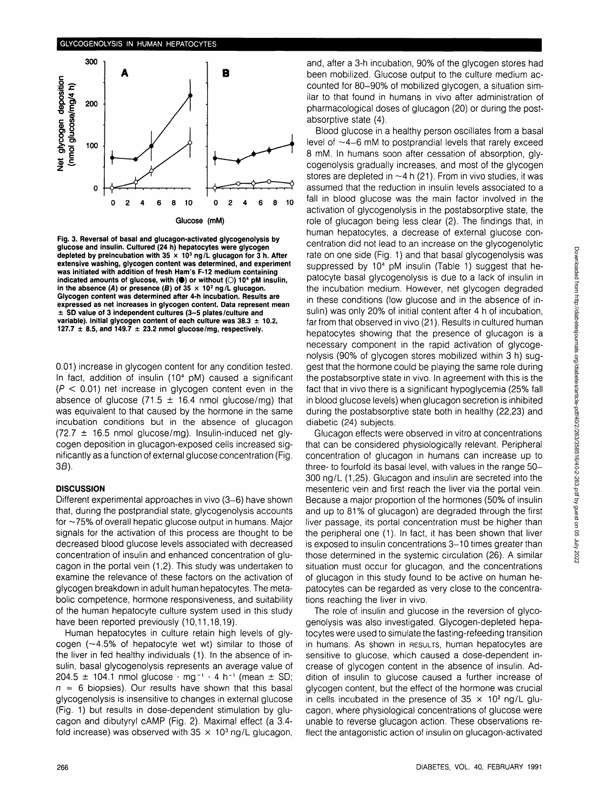

**Fig. 3. Reversal of basal and glucagon-activated glycogenolysis by glucose and insulin. Cultured (24 h) hepatocytes were glycogen depleted by preincubation with 35 x 10<sup>3</sup> ng/L glucagon for 3 h. After extensive washing, glycogen content was determined, and experiment was initiated with addition of fresh Ham's F-12 medium containing** indicated amounts of glucose, with (<sup>\*</sup>) or without ( $\bigcirc$ ) 10<sup>4</sup> pM insulin, in the absence (A) or presence (B) of  $35 \times 10^2$  ng/L glucagon. **Glycogen content was determined after 4-h incubation. Results are expressed as net increases in glycogen content. Data represent mean ± SD value of 3 independent cultures (3-5 plates/culture and variable). Initial glycogen content of each culture was 38.3 ± 10.2, 127.7**  $\pm$  8.5, and 149.7  $\pm$  23.2 nmol glucose/mg, respectively.

0.01) increase in glycogen content for any condition tested. In fact, addition of insulin (10<sup>4</sup> pM) caused a significant  $(P < 0.01)$  net increase in glycogen content even in the absence of glucose (71.5  $\pm$  16.4 nmol glucose/mg) that was equivalent to that caused by the hormone in the same incubation conditions but in the absence of glucagon  $(72.7 \pm 16.5 \text{ nmol glucose/mg})$ . Insulin-induced net glycogen deposition in glucagon-exposed cells increased significantly as a function of external glucose concentration (Fig. 3B).

#### **DISCUSSION**

Different experimental approaches in vivo (3-6) have shown that, during the postprandial state, glycogenolysis accounts for  $\sim$ 75% of overall hepatic glucose output in humans. Major signals for the activation of this process are thought to be decreased blood glucose levels associated with decreased concentration of insulin and enhanced concentration of glucagon in the portal vein (1,2). This study was undertaken to examine the relevance of these factors on the activation of glycogen breakdown in adult human hepatocytes. The metabolic competence, hormone responsiveness, and suitability of the human hepatocyte culture system used in this study have been reported previously (10,11,18,19).

Human hepatocytes in culture retain high levels of glycogen  $(-4.5\%$  of hepatocyte wet wt) similar to those of the liver in fed healthy individuals (1). In the absence of insulin, basal glycogenolysis represents an average value of  $204.5 \pm 104.1$  nmol glucose  $\cdot$  mg<sup>-1</sup>  $\cdot$  4 h<sup>-1</sup> (mean  $\pm$  SD;  $n = 6$  biopsies). Our results have shown that this basal glycogenolysis is insensitive to changes in external glucose (Fig. 1) but results in dose-dependent stimulation by glucagon and dibutyryl cAMP (Fig. 2). Maximal effect (a 3.4 fold increase) was observed with  $35 \times 10^3$  ng/L glucagon,

and, after a 3-h incubation, 90% of the glycogen stores had been mobilized. Glucose output to the culture medium accounted for 80-90% of mobilized glycogen, a situation similar to that found in humans in vivo after administration of pharmacological doses of glucagon (20) or during the postabsorptive state (4).

Blood glucose in a healthy person oscillates from a basal level of  $\sim$ 4-6 mM to postprandial levels that rarely exceed 8 mM. In humans soon after cessation of absorption, glycogenolysis gradually increases, and most of the glycogen stores are depleted in  $\sim$  4 h (21). From in vivo studies, it was assumed that the reduction in insulin levels associated to a fall in blood glucose was the main factor involved in the activation of glycogenolysis in the postabsorptive state, the role of glucagon being less clear (2). The findings that, in human hepatocytes, a decrease of external glucose concentration did not lead to an increase on the glycogenolytic rate on one side (Fig. 1) and that basal glycogenolysis was suppressed by  $10<sup>4</sup>$  pM insulin (Table 1) suggest that hepatocyte basal glycogenolysis is due to a lack of insulin in the incubation medium. However, net glycogen degraded in these conditions (low glucose and in the absence of insulin) was only 20% of initial content after 4 h of incubation, far from that observed in vivo (21). Results in cultured human hepatocytes showing that the presence of glucagon is a necessary component in the rapid activation of glycogenolysis (90% of glycogen stores mobilized within 3 h) suggest that the hormone could be playing the same role during the postabsorptive state in vivo. In agreement with this is the fact that in vivo there is a significant hypoglycemia (25% fall in blood glucose levels) when glucagon secretion is inhibited during the postabsorptive state both in healthy (22,23) and diabetic (24) subjects.

Glucagon effects were observed in vitro at concentrations that can be considered physiologically relevant. Peripheral concentration of glucagon in humans can increase up to three- to fourfold its basal level, with values in the range 50- 300 ng/L (1,25). Glucagon and insulin are secreted into the mesenteric vein and first reach the liver via the portal vein. Because a major proportion of the hormones (50% of insulin and up to 81% of glucagon) are degraded through the first liver passage, its portal concentration must be higher than the peripheral one (1). In fact, it has been shown that liver is exposed to insulin concentrations 3-10 times greater than those determined in the systemic circulation (26). A similar situation must occur for glucagon, and the concentrations of glucagon in this study found to be active on human hepatocytes can be regarded as very close to the concentrations reaching the liver in vivo.

The role of insulin and glucose in the reversion of glycogenolysis was also investigated. Glycogen-depleted hepatocytes were used to simulate the fasting-refeeding transition in humans. As shown in RESULTS, human hepatocytes are sensitive to glucose, which caused a dose-dependent increase of glycogen content in the absence of insulin. Addition of insulin to glucose caused a further increase of glycogen content, but the effect of the hormone was crucial in cells incubated in the presence of  $35 \times 10^2$  ng/L glucagon, where physiological concentrations of glucose were unable to reverse glucagon action. These observations reflect the antagonistic action of insulin on glucagon-activated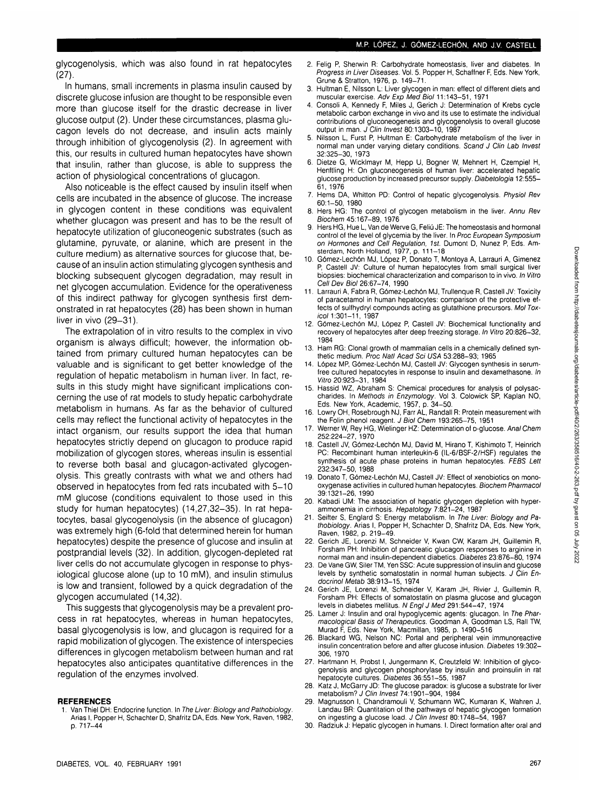glycogenolysis, which was also found in rat hepatocytes  $(27)$ 

In humans, small increments in plasma insulin caused by discrete glucose infusion are thought to be responsible even more than glucose itself for the drastic decrease in liver glucose output (2). Under these circumstances, plasma glucagon levels do not decrease, and insulin acts mainly through inhibition of glycogenolysis (2). In agreement with this, our results in cultured human hepatocytes have shown that insulin, rather than glucose, is able to suppress the action of physiological concentrations of glucagon.

Also noticeable is the effect caused by insulin itself when cells are incubated in the absence of glucose. The increase in glycogen content in these conditions was equivalent whether glucagon was present and has to be the result of hepatocyte utilization of gluconeogenic substrates (such as glutamine, pyruvate, or alanine, which are present in the culture medium) as alternative sources for glucose that, because of an insulin action stimulating glycogen synthesis and blocking subsequent glycogen degradation, may result in net glycogen accumulation. Evidence for the operativeness of this indirect pathway for glycogen synthesis first demonstrated in rat hepatocytes (28) has been shown in human liver in vivo (29-31).

The extrapolation of in vitro results to the complex in vivo organism is always difficult; however, the information obtained from primary cultured human hepatocytes can be valuable and is significant to get better knowledge of the regulation of hepatic metabolism in human liver. In fact, results in this study might have significant implications concerning the use of rat models to study hepatic carbohydrate metabolism in humans. As far as the behavior of cultured cells may reflect the functional activity of hepatocytes in the intact organism, our results support the idea that human hepatocytes strictly depend on glucagon to produce rapid mobilization of glycogen stores, whereas insulin is essential to reverse both basal and glucagon-activated glycogenolysis. This greatly contrasts with what we and others had observed in hepatocytes from fed rats incubated with 5-10 mM glucose (conditions equivalent to those used in this study for human hepatocytes) (14,27,32-35). In rat hepatocytes, basal glycogenolysis (in the absence of glucagon) was extremely high (6-fold that determined herein for human hepatocytes) despite the presence of glucose and insulin at postprandial levels (32). In addition, glycogen-depleted rat liver cells do not accumulate glycogen in response to physiological glucose alone (up to 10 mM), and insulin stimulus is low and transient, followed by a quick degradation of the glycogen accumulated (14,32).

This suggests that glycogenolysis may be a prevalent process in rat hepatocytes, whereas in human hepatocytes, basal glycogenolysis is low, and glucagon is required for a rapid mobilization of glycogen. The existence of interspecies differences in glycogen metabolism between human and rat hepatocytes also anticipates quantitative differences in the regulation of the enzymes involved.

#### **REFERENCES**

**1**. Van Thiel DH: Endocrine function. In The Liver: Biology and Pathobiology. Arias I, Popper H, Schachter D, Shafritz DA, Eds. New York, Raven, 1982, p. 717-44

- 2. Felig P, Sherwin R: Carbohydrate homeostasis, liver and diabetes. In Progress in Liver Diseases. Vol. 5. Popper H, Schaffner F, Eds. New York, Grune & Stratton, 1976, p. 149-71.
- 3. Hultman E, Nilsson L: Liver glycogen in man: effect of different diets and muscular exercise. Adv Exp Med Biol 11:143-51, 1971
- 4. Consoli A, Kennedy F, Miles J, Gerich J: Determination of Krebs cycle metabolic carbon exchange in vivo and its use to estimate the individual contributions of gluconeogenesis and glycogenolysis to overall glucose output in man. J Clin Invest 80:1303-10, 1987
- 5. Nilsson L, Furst P, Hultman E: Carbohydrate metabolism of the liver in normal man under varying dietary conditions. Scand J Clin Lab Invest 32:325-30, 1973
- 6. Dietze G, Wicklmayr M, Hepp U, Bogner W, Mehnert H, Czempiel H, Henftling H: On gluconeogenesis of human liver: accelerated hepatic glucose production by increased precursor supply. Diabetologia **12:555—** 61, 1976
- 7. Hems DA, Whitton PD: Control of hepatic glycogenolysis. Physiol Rev 60:1-50, 1980
- Hers HG: The control of glycogen metabolism in the liver. Annu Rev Biochem 45:167-89, 1976
- 9. Hers HG, Hue L, Van de Werve G, Feliu JE: The homeostasis and hormonal control of the level of glycemia by the liver. In Proc European Symposium on Hormones and Cell Regulation, 1st. Dumont D, Nunez P, Eds. Amsterdam, North Holland, 1977, p. 111-18
- 10. G6mez-Lech6n MJ, L6pez P, Donato T, Montoya A, Larrauri A, Gimenez P, Castell JV: Culture of human hepatocytes from small surgical liver biopsies: biochemical characterization and comparison to in vivo. In Vitro Cell Dev Biol 26:67-74, 1990
- 11. Larrauri A, Fabra R, G6mez-Lech6n MJ, Trullenque R, Castell JV: Toxicity of paracetamol in human hepatocytes: comparison of the protective effects of sulfhydryl compounds acting as glutathione precursors. Mol Toxicol 1:301-11, 1987
- 12. Gómez-Lechón MJ, López P, Castell JV: Biochemical functionality and recovery of hepatocytes after deep freezing storage. In Vitro 20:826-32, 1984
- 13. Ham RG: Clonal growth of mammalian cells in a chemically defined synthetic medium. Proc Natl Acad Sci USA 53:288-93; 1965
- 14. L6pez MP, G6mez-Lech6n MJ, Castell JV: Glycogen synthesis in serumfree cultured hepatocytes in response to insulin and dexamethasone. In Vitro 20:923-31, 1984
- 15. Hassid WZ, Abraham S: Chemical procedures for analysis of polysaccharides. In Methods in Enzymology. Vol 3. Colowick SP, Kaplan NO, Eds. New York, Academic, 1957, p. 34-50.
- 16. Lowry OH, Rosebrough NJ, Farr AL, Randall R: Protein measurement with the Folin phenol reagent. J Biol Chem 193:265-75, 1951
- 17. Werner W, Rey HG, Wielinger HZ: Determination of p-glucose. Anal Chem 252:224-27, 1970
- 18. Castell JV, G6mez-Lech6n MJ, David M, Hirano T, Kishimoto T, Heinrich PC: Recombinant human interleukin-6 (IL-6/BSF-2/HSF) regulates the synthesis of acute phase proteins in human hepatocytes. FEBS Lett 232:347-50, 1988
- 19. Donato T, Gómez-Lechón MJ, Castell JV: Effect of xenobiotics on monooxygenase activities in cultured human hepatocytes. Biochem Pharmacol 39:1321-26, 1990
- 20. Kabadi UM: The association of hepatic glycogen depletion with hyperammonemia in cirrhosis. Hepatology 7:821-24, 1987
- 21. Seifter S, Englard S: Energy metabolism. In The Liver: Biology and Pathobiology. Arias I, Popper H, Schachter D, Shafritz DA, Eds. New York, Raven, 1982, p. 219-49.
- 22. Gerich JE, Lorenzi M, Schneider V, Kwan CW, Karam JH, Guillemin R, Forsham PH: Inhibition of pancreatic glucagon responses to arginine in normal man and insulin-dependent diabetics. Diabetes 23:876-80,1974
- 23. De Vane GW, Siler TM, Yen SSC: Acute suppression of insulin and glucose levels by synthetic somatostatin in normal human subjects. J Clin Endocrinol Metab 38:913-15, 1974
- 24. Gerich JE, Lorenzi M, Schneider V, Karam JH, Rivier J, Guillemin R, Forsham PH: Effects of somatostatin on plasma glucose and glucagon levels in diabetes mellitus. N Engl J Med 291:544-47, 1974
- 25. Lamer J: Insulin and oral hypoglycemic agents: glucagon. In The Pharmacological Basis of Therapeutics. Goodman A, Goodman LS, Rail TW, Murad F, Eds. New York, Macmillan, 1985, p. 1490-516
- 26. Blackard WG, Nelson NC: Portal and peripheral vein immunoreactive insulin concentration before and after glucose infusion. Diabetes 19:302- 306, 1970
- 27. Hartmann H, Probst I, Jungermann K, Creutzfeld W: Inhibition of glycogenolysis and glycogen phosphorylase by insulin and proinsulin in rat hepatocyte cultures. Diabetes 36:551-55, 1987
- 28. Katz J, McGarry JD: The glucose paradox: is glucose a substrate for liver metabolism? J Clin Invest 74:1901-904, 1984
- 29. Magnusson I, Chandramouli V, Schumann WC, Kumaran K, Wahren J, Landau BR: Quantitation of the pathways of hepatic glycogen formation on ingesting a glucose load. J Clin Invest 80:1748-54, 1987
- 30. Radziuk J: Hepatic glycogen in humans. I. Direct formation after oral and